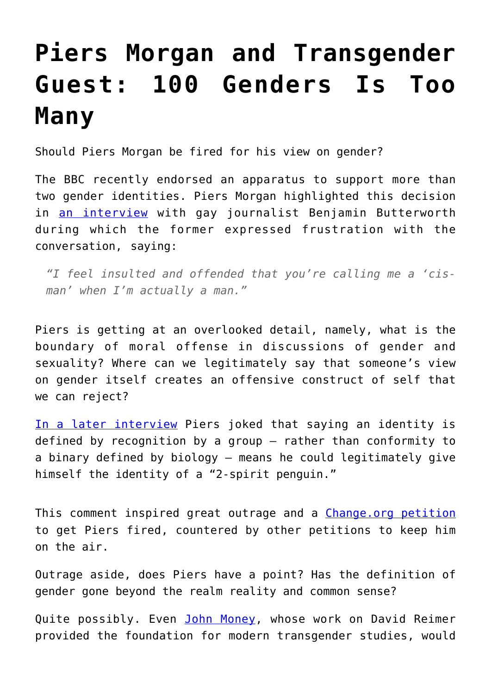## **[Piers Morgan and Transgender](https://intellectualtakeout.org/2019/11/piers-morgan-and-transgender-guest-100-genders-is-too-many/) [Guest: 100 Genders Is Too](https://intellectualtakeout.org/2019/11/piers-morgan-and-transgender-guest-100-genders-is-too-many/) [Many](https://intellectualtakeout.org/2019/11/piers-morgan-and-transgender-guest-100-genders-is-too-many/)**

Should Piers Morgan be fired for his view on gender?

The BBC recently endorsed an apparatus to support more than two gender identities. Piers Morgan highlighted this decision in [an interview](https://www.youtube.com/watch?v=vDT-Yj5n6zE&t=239s) with gay journalist Benjamin Butterworth during which the former expressed frustration with the conversation, saying:

*"I feel insulted and offended that you're calling me a 'cisman' when I'm actually a man."*

Piers is getting at an overlooked detail, namely, what is the boundary of moral offense in discussions of gender and sexuality? Where can we legitimately say that someone's view on gender itself creates an offensive construct of self that we can reject?

[In a later interview](https://www.youtube.com/watch?v=C1roM98Dass) Piers joked that saying an identity is defined by recognition by a group – rather than conformity to a binary defined by biology – means he could legitimately give himself the identity of a "2-spirit penguin."

This comment inspired great outrage and a [Change.org petition](https://www.change.org/p/itv-remove-piers-morgan-from-good-morning-britain-6d7c9836-ce2f-4b10-8a40-9179e7974bdb) to get Piers fired, countered by other petitions to keep him on the air.

Outrage aside, does Piers have a point? Has the definition of gender gone beyond the realm reality and common sense?

Quite possibly. Even [John Money](https://reason.com/2004/05/24/the-death-of-david-reimer/), whose work on David Reimer provided the foundation for modern transgender studies, would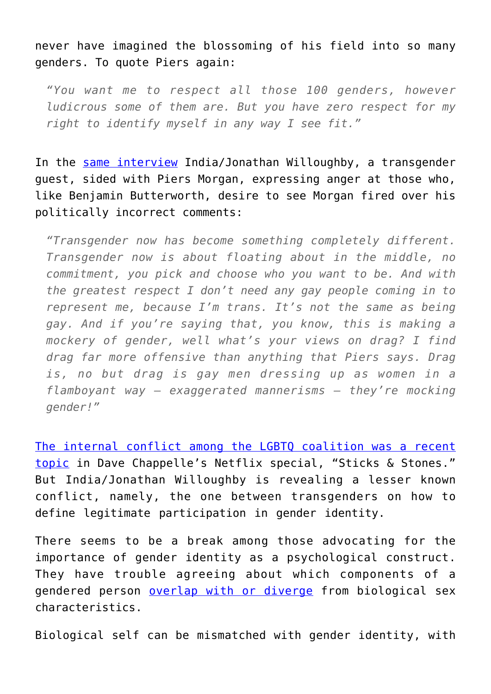never have imagined the blossoming of his field into so many genders. To quote Piers again:

*"You want me to respect all those 100 genders, however ludicrous some of them are. But you have zero respect for my right to identify myself in any way I see fit."*

In the [same interview](https://www.youtube.com/watch?v=C1roM98Dass) India/Jonathan Willoughby, a transgender guest, sided with Piers Morgan, expressing anger at those who, like Benjamin Butterworth, desire to see Morgan fired over his politically incorrect comments:

*"Transgender now has become something completely different. Transgender now is about floating about in the middle, no commitment, you pick and choose who you want to be. And with the greatest respect I don't need any gay people coming in to represent me, because I'm trans. It's not the same as being gay. And if you're saying that, you know, this is making a mockery of gender, well what's your views on drag? I find drag far more offensive than anything that Piers says. Drag is, no but drag is gay men dressing up as women in a flamboyant way – exaggerated mannerisms – they're mocking gender!"*

[The internal conflict among the LGBTQ coalition was a recent](https://www.intellectualtakeout.org/article/dave-chappelle-and-public-thirst-sticks-and-stones) [topic](https://www.intellectualtakeout.org/article/dave-chappelle-and-public-thirst-sticks-and-stones) in Dave Chappelle's Netflix special, "Sticks & Stones." But India/Jonathan Willoughby is revealing a lesser known conflict, namely, the one between transgenders on how to define legitimate participation in gender identity.

There seems to be a break among those advocating for the importance of gender identity as a psychological construct. They have trouble agreeing about which components of a gendered person [overlap with or diverge](https://www.intellectualtakeout.org/article/transgender-ideology-riddled-contradictions-here-are-big-ones) from biological sex characteristics.

Biological self can be mismatched with gender identity, with